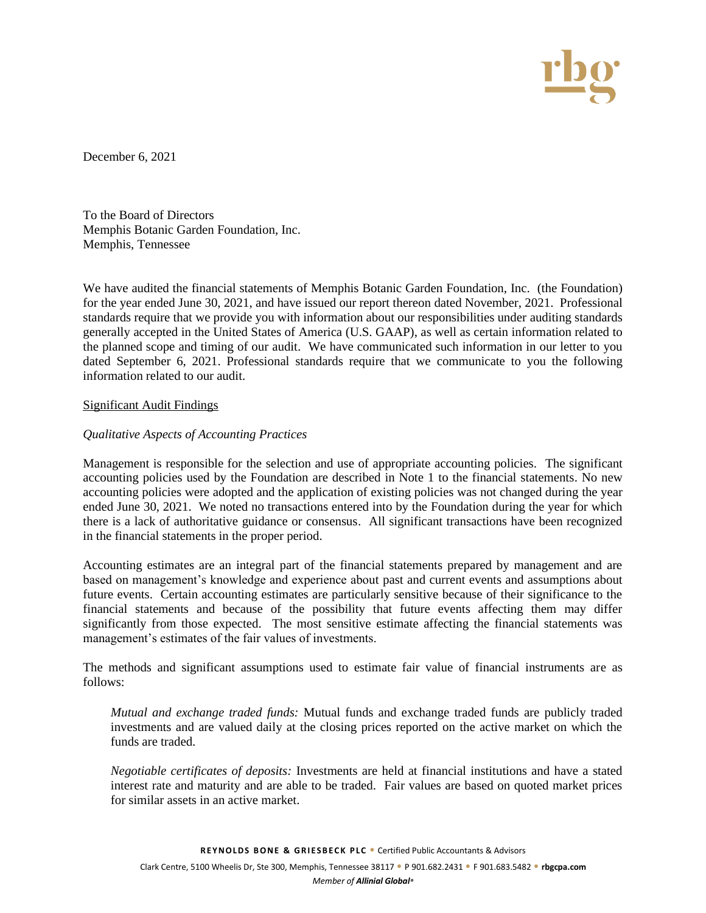

December 6, 2021

To the Board of Directors Memphis Botanic Garden Foundation, Inc. Memphis, Tennessee

We have audited the financial statements of Memphis Botanic Garden Foundation, Inc. (the Foundation) for the year ended June 30, 2021, and have issued our report thereon dated November, 2021. Professional standards require that we provide you with information about our responsibilities under auditing standards generally accepted in the United States of America (U.S. GAAP), as well as certain information related to the planned scope and timing of our audit. We have communicated such information in our letter to you dated September 6, 2021. Professional standards require that we communicate to you the following information related to our audit.

# Significant Audit Findings

# *Qualitative Aspects of Accounting Practices*

Management is responsible for the selection and use of appropriate accounting policies. The significant accounting policies used by the Foundation are described in Note 1 to the financial statements. No new accounting policies were adopted and the application of existing policies was not changed during the year ended June 30, 2021. We noted no transactions entered into by the Foundation during the year for which there is a lack of authoritative guidance or consensus. All significant transactions have been recognized in the financial statements in the proper period.

Accounting estimates are an integral part of the financial statements prepared by management and are based on management's knowledge and experience about past and current events and assumptions about future events. Certain accounting estimates are particularly sensitive because of their significance to the financial statements and because of the possibility that future events affecting them may differ significantly from those expected. The most sensitive estimate affecting the financial statements was management's estimates of the fair values of investments.

The methods and significant assumptions used to estimate fair value of financial instruments are as follows:

*Mutual and exchange traded funds:* Mutual funds and exchange traded funds are publicly traded investments and are valued daily at the closing prices reported on the active market on which the funds are traded.

*Negotiable certificates of deposits:* Investments are held at financial institutions and have a stated interest rate and maturity and are able to be traded. Fair values are based on quoted market prices for similar assets in an active market.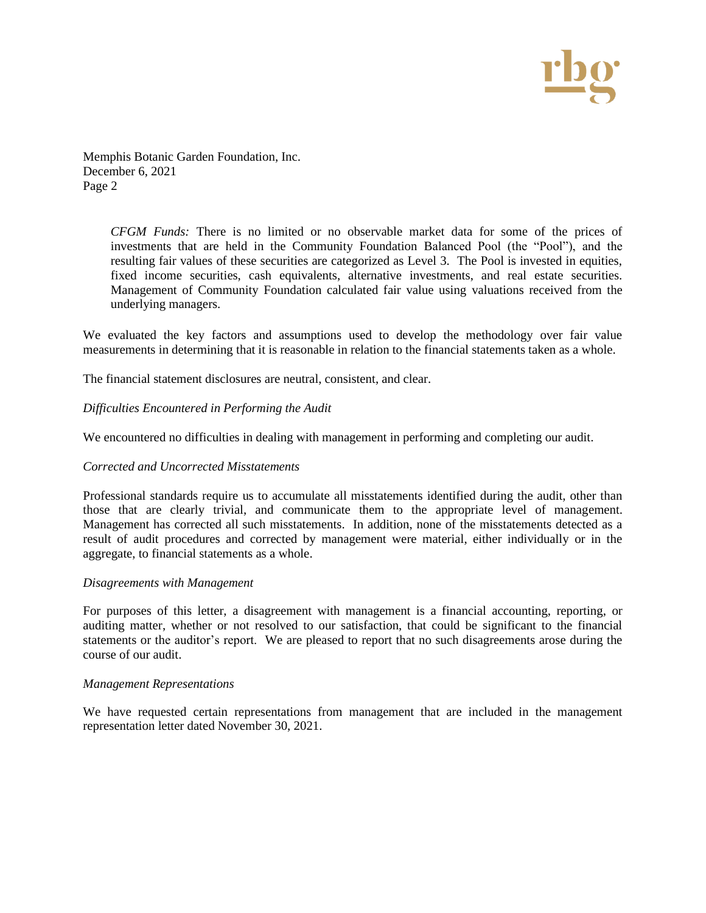

Memphis Botanic Garden Foundation, Inc. December 6, 2021 Page 2

> *CFGM Funds:* There is no limited or no observable market data for some of the prices of investments that are held in the Community Foundation Balanced Pool (the "Pool"), and the resulting fair values of these securities are categorized as Level 3. The Pool is invested in equities, fixed income securities, cash equivalents, alternative investments, and real estate securities. Management of Community Foundation calculated fair value using valuations received from the underlying managers.

We evaluated the key factors and assumptions used to develop the methodology over fair value measurements in determining that it is reasonable in relation to the financial statements taken as a whole.

The financial statement disclosures are neutral, consistent, and clear.

*Difficulties Encountered in Performing the Audit* 

We encountered no difficulties in dealing with management in performing and completing our audit.

### *Corrected and Uncorrected Misstatements*

Professional standards require us to accumulate all misstatements identified during the audit, other than those that are clearly trivial, and communicate them to the appropriate level of management. Management has corrected all such misstatements. In addition, none of the misstatements detected as a result of audit procedures and corrected by management were material, either individually or in the aggregate, to financial statements as a whole.

### *Disagreements with Management*

For purposes of this letter, a disagreement with management is a financial accounting, reporting, or auditing matter, whether or not resolved to our satisfaction, that could be significant to the financial statements or the auditor's report. We are pleased to report that no such disagreements arose during the course of our audit.

### *Management Representations*

We have requested certain representations from management that are included in the management representation letter dated November 30, 2021.